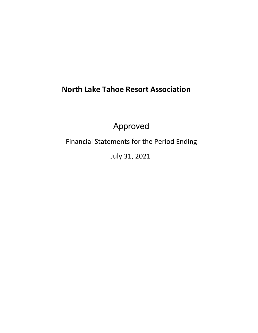# **North Lake Tahoe Resort Association**

Approved

Financial Statements for the Period Ending

July 31, 2021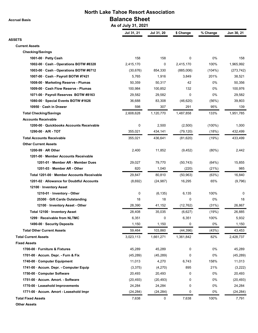**Accrual Basis**

## **North Lake Tahoe Resort Association Balance Sheet**

 **As of July 31, 2021**

|                                            | ASUI JUIJ JI, 404 I |            |             |           |            |
|--------------------------------------------|---------------------|------------|-------------|-----------|------------|
|                                            | Jul 31, 21          | Jul 31, 20 | \$ Change   | % Change  | Jun 30, 21 |
| <b>ASSETS</b>                              |                     |            |             |           |            |
| <b>Current Assets</b>                      |                     |            |             |           |            |
| <b>Checking/Savings</b>                    |                     |            |             |           |            |
| 1001-00 · Petty Cash                       | 158                 | 158        | 0           | 0%        | 158        |
| 1002-00 Cash - Operations BOTW #8328       | 2,415,170           | 0          | 2,415,170   | 100%      | 1,965,992  |
| 1003-00 Cash - Operations BOTW #6712       | (30, 676)           | 854,330    | (885,006)   | (104%)    | (273, 742) |
| 1007-00 Cash - Payroll BOTW #7421          | 5,765               | 1,916      | 3,849       | 201%      | 38,521     |
| 1008-00 · Marketing Reserve - Plumas       | 50,359              | 50,317     | 42          | 0%        | 50,356     |
| 1009-00 · Cash Flow Reserve - Plumas       | 100,984             | 100,852    | 132         | 0%        | 100,976    |
| 1071-00 · Payroll Reserves BOTW #8163      | 29,582              | 29,582     | $\mathbf 0$ | 0%        | 29,582     |
| 1080-00 Special Events BOTW #1626          | 36,688              | 83,308     | (46, 620)   | (56%)     | 39,803     |
| 10950 Cash in Drawer                       | 598                 | 307        | 291         | 95%       | 139        |
| <b>Total Checking/Savings</b>              | 2,608,628           | 1,120,770  | 1,487,858   | 133%      | 1,951,785  |
| <b>Accounts Receivable</b>                 |                     |            |             |           |            |
| 1200-00 Quickbooks Accounts Receivable     | 0                   | 2,500      | (2,500)     | $(100\%)$ | 1,000      |
| 1290-00 A/R - TOT                          | 355,021             | 434,141    | (79, 120)   | (18%)     | 432,499    |
| <b>Total Accounts Receivable</b>           | 355,021             | 436,641    | (81, 620)   | (19%)     | 433,499    |
| <b>Other Current Assets</b>                |                     |            |             |           |            |
| 1200-99 AR Other                           | 2,400               | 11,852     | (9, 452)    | $(80\%)$  | 2,442      |
| 1201-00 Member Accounts Receivable         |                     |            |             |           |            |
| 1201-01 Member AR - Member Dues            | 29,027              | 79,770     | (50, 743)   | (64%)     | 15,855     |
| 1201-03 Member AR - Other                  | 820                 | 1,040      | (220)       | (21%)     | 985        |
| Total 1201-00 · Member Accounts Receivable | 29,847              | 80,810     | (50, 963)   | (63%)     | 16,840     |
| 1201-02 · Allowance for Doubtful Accounts  | (8,692)             | (24, 987)  | 16,295      | 65%       | (9,796)    |
| 12100 · Inventory Asset                    |                     |            |             |           |            |
| 1210-01 · Inventory - Other                | 0                   | (6, 135)   | 6,135       | 100%      | 0          |
| 25300 Gift Cards Outstanding               | 18                  | 18         | 0           | 0%        | 18         |
| 12100 · Inventory Asset - Other            | 28,390              | 41,152     | (12, 762)   | (31%)     | 26,867     |
| Total 12100 · Inventory Asset              | 28,408              | 35,035     | (6,627)     | (19%)     | 26,885     |
| 1299 · Receivable from NLTMC               | 6,351               | 0          | 6,351       | 100%      | 5,932      |
| 1490-00 · Security Deposits                | 1,150               | 1,150      | 0           | 0%        | 1,150      |
| <b>Total Other Current Assets</b>          | 59,464              | 103,860    | (44, 396)   | (43%)     | 43,453     |
| <b>Total Current Assets</b>                | 3,023,113           | 1,661,271  | 1,361,842   | 82%       | 2,428,737  |
| <b>Fixed Assets</b>                        |                     |            |             |           |            |
| 1700-00 · Furniture & Fixtures             | 45,289              | 45,289     | 0           | 0%        | 45,289     |
| 1701-00 · Accum. Depr. - Furn & Fix        | (45, 289)           | (45, 289)  | 0           | 0%        | (45, 289)  |
| 1740-00 Computer Equipment                 | 11,013              | 4,270      | 6,743       | 158%      | 11,013     |
| 1741-00 · Accum. Depr. - Computer Equip    | (3,375)             | (4,270)    | 895         | 21%       | (3,222)    |
| 1750-00 Computer Software                  | 20,493              | 20,493     | 0           | 0%        | 20,493     |
| 1751-00 · Accum. Amort. - Software         | (20, 493)           | (20, 493)  | 0           | 0%        | (20, 493)  |
| 1770-00 · Leasehold Improvements           | 24,284              | 24,284     | 0           | 0%        | 24,284     |
| 1771-00 · Accum. Amort - Leasehold Impr    | (24, 284)           | (24, 284)  | 0           | 0%        | (24, 284)  |
| <b>Total Fixed Assets</b>                  | 7,638               | 0          | 7,638       | 100%      | 7,791      |
|                                            |                     |            |             |           |            |

**Other Assets**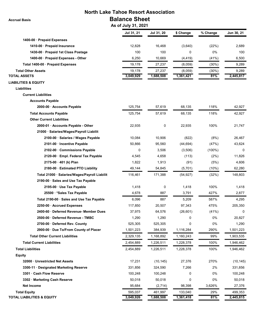## **North Lake Tahoe Resort Association Balance Sheet**

 **As of July 31, 2021**

 **Accrual Basis**

|                                               | AS OI JUIY JI, ZUZ I |            |           |           |            |
|-----------------------------------------------|----------------------|------------|-----------|-----------|------------|
|                                               | Jul 31, 21           | Jul 31, 20 | \$ Change | % Change  | Jun 30, 21 |
| 1400-00 Prepaid Expenses                      |                      |            |           |           |            |
| 1410-00 · Prepaid Insurance                   | 12,828               | 16,468     | (3,640)   | (22%)     | 2,689      |
| 1430-00 · Prepaid 1st Class Postage           | 100                  | 100        | 0         | 0%        | 100        |
| 1400-00 · Prepaid Expenses - Other            | 6,250                | 10,669     | (4, 419)  | (41%)     | 6,500      |
| Total 1400-00 · Prepaid Expenses              | 19,178               | 27,237     | (8,059)   | $(30\%)$  | 9,289      |
| <b>Total Other Assets</b>                     | 19,178               | 27,237     | (8,059)   | (30%)     | 9,289      |
| <b>TOTAL ASSETS</b>                           | 3,049,929            | 1,688,508  | 1,361,421 | 81%       | 2,445,817  |
| <b>LIABILITIES &amp; EQUITY</b>               |                      |            |           |           |            |
| <b>Liabilities</b>                            |                      |            |           |           |            |
| <b>Current Liabilities</b>                    |                      |            |           |           |            |
| <b>Accounts Payable</b>                       |                      |            |           |           |            |
| 2000-00 · Accounts Payable                    | 125,754              | 57,619     | 68,135    | 118%      | 42,927     |
| <b>Total Accounts Payable</b>                 | 125,754              | 57,619     | 68,135    | 118%      | 42,927     |
| <b>Other Current Liabilities</b>              |                      |            |           |           |            |
| 2000-01 · Accounts Payable - Other            | 22,935               | 0          | 22,935    | 100%      | 21,747     |
| 21000 · Salaries/Wages/Payroll Liabilit       |                      |            |           |           |            |
| 2100-00 · Salaries / Wages Payable            | 10,084               | 10,906     | (822)     | (8%)      | 26,467     |
| 2101-00 · Incentive Payable                   | 50,866               | 95,560     | (44, 694) | (47%)     | 43,624     |
| 2102-00 Commissions Payable                   | 0                    | 3,506      | (3,506)   | $(100\%)$ | $\Omega$   |
| 2120-00 · Empl. Federal Tax Payable           | 4,545                | 4,658      | (113)     | (2%)      | 11,826     |
| $2175-00 \cdot 401$ (k) Plan                  | 1,822                | 1,913      | (91)      | (5%)      | 4,606      |
| 2180-00 · Estimated PTO Liability             | 49,144               | 54,845     | (5,701)   | (10%)     | 62,280     |
| Total 21000 · Salaries/Wages/Payroll Liabilit | 116,461              | 171,388    | (54, 927) | (32%)     | 148,803    |
| 2190-00 · Sales and Use Tax Payable           |                      |            |           |           |            |
| 2195-00 · Use Tax Payable                     | 1,418                | 0          | 1,418     | 100%      | 1,418      |
| 25500 *Sales Tax Payable                      | 4,678                | 887        | 3,791     | 427%      | 2,877      |
| Total 2190-00 · Sales and Use Tax Payable     | 6,096                | 887        | 5,209     | 587%      | 4,295      |
| 2250-00 · Accrued Expenses                    | 117,850              | 20,507     | 97,343    | 475%      | 205,350    |
| 2400-60 · Deferred Revenue- Member Dues       | 37,975               | 64,576     | (26, 601) | (41%)     | 0          |
| 2500-00 · Deferred Revenue - TMBC             | 1,290                | 1,290      | 0         | 0%        | 20,827     |
| 2700-00 Deferred Rev. County                  | 525,305              | 525,305    | 0         | 0%        | 1,290      |
| 2900-00 · Due To/From County of Placer        | 1,501,223            | 384,939    | 1,116,284 | 290%      | 1,501,223  |
| <b>Total Other Current Liabilities</b>        | 2,329,135            | 1,168,892  | 1,160,243 | 99%       | 1,903,535  |
| <b>Total Current Liabilities</b>              | 2,454,889            | 1,226,511  | 1,228,378 | 100%      | 1,946,462  |
| <b>Total Liabilities</b>                      | 2,454,889            | 1,226,511  | 1,228,378 | 100%      | 1,946,462  |
| <b>Equity</b>                                 |                      |            |           |           |            |
| 32000 Unrestricted Net Assets                 | 17,231               | (10, 145)  | 27,376    | 270%      | (10, 145)  |
| 3300-11 Designated Marketing Reserve          | 331,856              | 324,590    | 7,266     | 2%        | 331,856    |
| 3301 · Cash Flow Reserve                      | 100,248              | 100,248    | 0         | 0%        | 100,248    |
| 3302 · Marketing Cash Reserve                 | 50,018               | 50,018     | 0         | 0%        | 50,018     |
| <b>Net Income</b>                             | 95,684               | (2,714)    | 98,398    | 3,626%    | 27,376     |
| <b>Total Equity</b>                           | 595,037              | 461,997    | 133,040   | 29%       | 499,353    |
| <b>TOTAL LIABILITIES &amp; EQUITY</b>         | 3,049,926            | 1,688,508  | 1,361,418 | 81%       | 2,445,815  |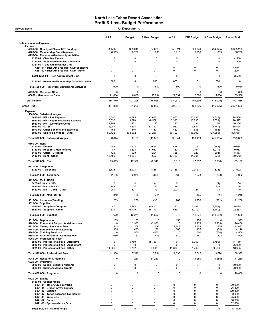| <b>Accrual Basis</b>                                                                                                                                                                                                                                                  |                                                                                   | <b>All Departments</b>                                               |                                             |                                        |                                                         |                                                                      |                                                                    |
|-----------------------------------------------------------------------------------------------------------------------------------------------------------------------------------------------------------------------------------------------------------------------|-----------------------------------------------------------------------------------|----------------------------------------------------------------------|---------------------------------------------|----------------------------------------|---------------------------------------------------------|----------------------------------------------------------------------|--------------------------------------------------------------------|
|                                                                                                                                                                                                                                                                       | <b>Jul 21</b>                                                                     | <b>Budget</b>                                                        | \$ Over Budget                              | <b>Jul 21</b>                          | <b>YTD Budget</b>                                       | \$ Over Budget                                                       | Annual Bud                                                         |
| <b>Ordinary Income/Expense</b>                                                                                                                                                                                                                                        |                                                                                   |                                                                      |                                             |                                        |                                                         |                                                                      |                                                                    |
| Income<br>4050-00 County of Placer TOT Funding<br>4200-00 · Membership Dues Revenue<br>4250-00 · Revenues-Membership Activities                                                                                                                                       | 355,021<br>6,915                                                                  | 389,046<br>6,250                                                     | (34, 025)<br>665                            | 355,021<br>6,915                       | 389,046<br>6,250                                        | (34, 025)<br>665                                                     | 3,395,286<br>56,250                                                |
| 4250-02 · Chamber Events<br>4250-03 · Summer/Winter Rec Luncheon<br>4251-00 · Tues AM Breakfast Club                                                                                                                                                                  | 0<br>0                                                                            | 0<br>$\mathbf 0$                                                     | 0<br>$\mathbf 0$                            | 0<br>$\mathbf 0$                       | 0<br>0                                                  | $\mathbf 0$<br>0                                                     | 4,500<br>1,500                                                     |
| 4251-01 · Tues AM Breakfast Club Sponsors<br>4251-00 · Tues AM Breakfast Club - Other                                                                                                                                                                                 | 0<br>$\mathbf 0$                                                                  | 0<br>$\mathbf 0$                                                     | 0<br>0                                      | 0<br>0                                 | 0<br>0                                                  | 0<br>0                                                               | 2,350<br>1,200                                                     |
| Total 4251-00 · Tues AM Breakfast Club                                                                                                                                                                                                                                | 0                                                                                 | 0                                                                    | $\mathbf 0$                                 | $\pmb{0}$                              | $\mathsf 0$                                             | $\mathbf 0$                                                          | 3,550                                                              |
| 4250-00 · Revenues-Membership Activities - Other                                                                                                                                                                                                                      | 600                                                                               | 0                                                                    | 600                                         | 600                                    | 0                                                       | 600                                                                  | 0                                                                  |
| Total 4250-00 · Revenues-Membership Activities                                                                                                                                                                                                                        | 600                                                                               | $\Omega$                                                             | 600                                         | 600                                    | 0                                                       | 600                                                                  | 9,550                                                              |
| 4253-00 · Revenue- Other<br>46000 · Merchandise Sales                                                                                                                                                                                                                 | $\Omega$<br>21,834                                                                | $\Omega$<br>6,000                                                    | $\Omega$<br>15,834                          | 0<br>21,834                            | 0<br>6,000                                              | 0<br>15,834                                                          | 1,000<br>59,500                                                    |
| <b>Total Income</b>                                                                                                                                                                                                                                                   | 384,370                                                                           | 401,296                                                              | (16, 926)                                   | 384,370                                | 401,296                                                 | (16, 926)                                                            | 3,521,586                                                          |
| <b>Gross Profit</b>                                                                                                                                                                                                                                                   | 384,370                                                                           | 401,296                                                              | (16, 926)                                   | 384,370                                | 401,296                                                 | (16, 926)                                                            | 3,521,586                                                          |
| <b>Expense</b><br>5000-00 · Salaries & Wages<br>5020-00 $\cdot$ P/R - Tax Expense<br>5030-00 · P/R - Health Insurance Expense<br>5040-00 · P/R - Workmans Comp                                                                                                        | 7,050<br>5,330<br>1,192                                                           | 10,695<br>13,890<br>1,131                                            | (3,645)<br>(8,559)<br>60                    | 7,050<br>5,330<br>1,192                | 10,695<br>13,890<br>1,131                               | (3,645)<br>(8, 559)<br>60                                            | 98,560<br>128,597<br>10,260                                        |
| 5060-00 $\cdot$ 401 (k)<br>5070-00 · Other Benefits and Expenses<br>5000-00 · Salaries & Wages - Other                                                                                                                                                                | 2,087<br>463<br>80,722                                                            | 3,834<br>646<br>108,002                                              | (1,747)<br>(183)<br>(27, 280)               | 2,087<br>463<br>80,722                 | 3,834<br>646<br>108,002                                 | (1,747)<br>(183)<br>(27, 280)                                        | 35,428<br>5,993<br>995,051                                         |
| Total 5000-00 · Salaries & Wages                                                                                                                                                                                                                                      | 96,844                                                                            | 138,199                                                              | (41, 355)                                   | 96,844                                 | 138,199                                                 | (41, 355)                                                            | 1,273,889                                                          |
| 5100-00 $\cdot$ Rent<br>$5110-00 \cdot$ Utilities<br>5140-00 · Repairs & Maintenance<br>5150-00 · Office - Cleaning<br>5100-00 · Rent - Other                                                                                                                         | 448<br>87<br>725<br>13,759                                                        | 1,113<br>1,104<br>929<br>14,391                                      | (664)<br>(1,017)<br>(204)<br>(632)          | 448<br>87<br>725<br>13,759             | 1,113<br>1,104<br>929<br>14,391                         | (664)<br>(1,017)<br>(204)<br>(632)                                   | 10,088<br>9,983<br>8,483<br>130,642                                |
| Total 5100-00 · Rent                                                                                                                                                                                                                                                  | 15,019                                                                            | 17,537                                                               | (2,518)                                     | 15,019                                 | 17,537                                                  | (2, 518)                                                             | 159,197                                                            |
| $5310-00 \cdot$ Telephone                                                                                                                                                                                                                                             |                                                                                   |                                                                      |                                             |                                        |                                                         |                                                                      |                                                                    |
| 5320-00 · Telephone                                                                                                                                                                                                                                                   | 2,136                                                                             | 2,973                                                                | (838)                                       | 2,136                                  | 2,973                                                   | (838)                                                                | 27,002                                                             |
| Total 5310-00 · Telephone                                                                                                                                                                                                                                             | 2,136                                                                             | 2,973                                                                | (838)                                       | 2,136                                  | 2,973                                                   | (838)                                                                | 27,002                                                             |
| 5420-00 Mail - USPS<br>5470-00 Mail - UPS<br>5480-00 Mail Fed Ex<br>5420-00 · Mail - USPS - Other                                                                                                                                                                     | $\mathbf 0$<br>149<br>200                                                         | $\overline{4}$<br>$\overline{4}$<br>127                              | (4)<br>145<br>73                            | $\mathbf 0$<br>149<br>200              | 4<br>4<br>127                                           | (4)<br>145<br>73                                                     | 50<br>50<br>1,140                                                  |
| Total 5420-00 · Mail - USPS                                                                                                                                                                                                                                           | 349                                                                               | 135                                                                  | 214                                         | 349                                    | 135                                                     | 214                                                                  | 1,240                                                              |
| 5510-00 · Insurance/Bonding<br>$5520-00 \cdot$ Supplies                                                                                                                                                                                                               | 269                                                                               | 1,250                                                                | (981)                                       | 269                                    | 1,250                                                   | (981)                                                                | 11,250                                                             |
| 5525-00 · Supplies- Computer<br>5520-00 · Supplies - Other                                                                                                                                                                                                            | 40<br>639                                                                         | 5,492<br>6,779                                                       | (5, 452)<br>(6, 140)                        | 40<br>639                              | 5,492<br>6,779                                          | (5, 452)<br>(6, 140)                                                 | 9,425<br>22,263                                                    |
| Total 5520-00 · Supplies                                                                                                                                                                                                                                              | 679                                                                               | 12,271                                                               | (11,592)                                    | 679                                    | 12,271                                                  | (11, 592)                                                            | 31,688                                                             |
| 5610-00 · Depreciation<br>5700-00 · Equipment Support & Maintenance<br>5710-00 · Taxes, Licenses & Fees<br>5740-00 · Equipment Rental/Leasing<br>5800-00 · Training Seminars<br>5850-00 · Artist of Month - Commissions<br>5900-00 · Professional Fees                | 153<br>0<br>1,843<br>365<br>$\mathbf 0$<br>670                                    | 153<br>2,933<br>1,308<br>435<br>500<br>167                           | 0<br>(2,933)<br>535<br>(70)<br>(500)<br>503 | 153<br>0<br>1,843<br>365<br>0<br>670   | 153<br>2,933<br>1,308<br>435<br>500<br>167              | 0<br>(2,933)<br>535<br>(70)<br>(500)<br>503                          | 1,375<br>26,400<br>11,832<br>4,116<br>4,500<br>1,500               |
| 5910-00 · Professional Fees - Attorneys<br>5920-00 · Professional Fees - Accountant<br>5921-00 · Professional Fees - Other                                                                                                                                            | 0<br>0<br>11,336                                                                  | 5,750<br>$\mathbf 0$<br>1,792                                        | (5,750)<br>$\Omega$<br>9,544                | 0<br>0<br>11,336                       | 5,750<br>0<br>1,792                                     | (5,750)<br>0<br>9,544                                                | 11,750<br>26,000<br>18,625                                         |
| Total 5900-00 · Professional Fees                                                                                                                                                                                                                                     | 11,336                                                                            | 7,542                                                                | 3,794                                       | 11,336                                 | 7,542                                                   | 3,794                                                                | 56,375                                                             |
| 5941-00 · Research & Planning<br>$6020-00 \cdot$ Programs                                                                                                                                                                                                             | $\mathbf 0$                                                                       | 1,250                                                                | (1,250)                                     | $\mathbf 0$                            | 1,250                                                   | (1,250)                                                              | 11,250                                                             |
| 6016-00 · Special Event Partnership<br>6018-00 · Business Assoc. Grants                                                                                                                                                                                               | 0<br>0                                                                            | 0<br>0                                                               | $\mathbf 0$<br>0                            | $\pmb{0}$<br>$\pmb{0}$                 | 0<br>$\pmb{0}$                                          | 0<br>0                                                               | 50,000<br>20,000                                                   |
| Total 6020-00 · Programs                                                                                                                                                                                                                                              | $\mathbf 0$                                                                       | $\mathbf 0$                                                          | $\mathbf 0$                                 | $\mathbf 0$                            | $\mathbf 0$                                             | $\mathbf 0$                                                          | 70,000                                                             |
| $6420-00 \cdot$ Events<br>6420-01 · Sponsorships<br>6421-01 · 4th of July Fireworks<br>6421-04 · Broken Arrow Skyrace<br>$6421-06 \cdot$ Spartan<br>6421-07 · Tahoe Lacrosse Tournament<br>6421-09 · Wanderlust<br>6421-17 · Enduro<br>6421-18 · Sponsorships - Other | 0<br>$\mathbf 0$<br>$\mathbf 0$<br>$\mathbf 0$<br>$\mathbf 0$<br>$\mathbf 0$<br>0 | 0<br>0<br>$\mathbf 0$<br>$\Omega$<br>$\mathbf 0$<br>$\mathbf 0$<br>0 | 0<br>0<br>0<br>0<br>0<br>0<br>0             | 0<br>0<br>0<br>$\Omega$<br>0<br>0<br>0 | $\mathbf 0$<br>0<br>$\Omega$<br>$\Omega$<br>0<br>0<br>0 | 0<br>0<br>$\mathbf 0$<br>$\Omega$<br>$\mathbf 0$<br>$\mathbf 0$<br>0 | 30,000<br>25,400<br>179,400<br>8,000<br>25,400<br>80,000<br>62,800 |
| Total 6420-01 · Sponsorships                                                                                                                                                                                                                                          | 0                                                                                 | 0                                                                    | $\mathbf 0$                                 | 0                                      | $\pmb{0}$                                               | $\mathbf 0$                                                          | 411,000                                                            |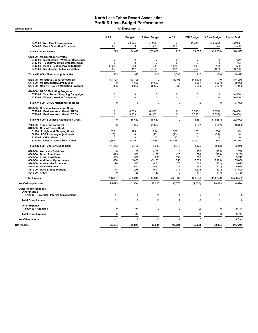Accrual Basis **Accrual Basis All Departments** 

|                                                                                                                                                                                                                                                  | <b>Jul 21</b>                                                    | <b>Budget</b>                                            | \$ Over Budget                                                        | <b>Jul 21</b>                                             | <b>YTD Budget</b>                                        | \$ Over Budget                                                        | Annual Bud                                                             |
|--------------------------------------------------------------------------------------------------------------------------------------------------------------------------------------------------------------------------------------------------|------------------------------------------------------------------|----------------------------------------------------------|-----------------------------------------------------------------------|-----------------------------------------------------------|----------------------------------------------------------|-----------------------------------------------------------------------|------------------------------------------------------------------------|
| 6421-00 · New Event Development<br>6424-00 · Event Operation Expenses                                                                                                                                                                            | $\mathbf 0$<br>225                                               | 34,025<br>$\mathbf 0$                                    | (34, 025)<br>225                                                      | 0<br>225                                                  | 34,025<br>$\mathbf 0$                                    | (34, 025)<br>225                                                      | 102.075<br>1,500                                                       |
| Total 6420-00 · Events                                                                                                                                                                                                                           | 225                                                              | 34,025                                                   | (33,800)                                                              | 225                                                       | 34,025                                                   | (33, 800)                                                             | 514,575                                                                |
| 6423-00 · Membership Activities<br>6436-00 · Membership - Wnt/Sum Rec Lunch<br>6437-00 · Tuesday Morning Breakfast Club<br>6442-00 · Public Relations/Website/Digita<br>6423-00 · Membership Activities - Other                                  | $\mathbf 0$<br>0<br>1,238<br>295                                 | $\mathbf 0$<br>$\Omega$<br>500<br>417                    | $\mathbf 0$<br>0<br>738<br>(122)                                      | $\mathbf 0$<br>$\mathbf 0$<br>1,238<br>295                | $\mathbf 0$<br>$\mathbf 0$<br>500<br>417                 | 0<br>0<br>738<br>(122)                                                | 500<br>1,763<br>4,500<br>3,750                                         |
| Total 6423-00 · Membership Activities                                                                                                                                                                                                            | 1,533                                                            | 917                                                      | 616                                                                   | 1,533                                                     | 917                                                      | 616                                                                   | 10,513                                                                 |
| 6730-00 · Marketing Cooperative/Media<br>6740-00 · Media/Collateral/Production<br>6742-00 · Non-NLT Co-Op Marketing Program                                                                                                                      | 143,108<br>$\Omega$<br>333                                       | 143,108<br>1,667<br>6,000                                | 0<br>(1,667)<br>(5,667)                                               | 143,108<br>$\Omega$<br>333                                | 143,108<br>1.667<br>6,000                                | $\Omega$<br>(1,667)<br>(5,667)                                        | 871,278<br>15,000<br>54,000                                            |
| 6743-00 · BACC Marketing Programs<br>6743-01 · Year Round Shopping Campaign<br>6743-03 · Winter Lakeside Campaign                                                                                                                                | 0<br>0                                                           | $\mathbf 0$<br>$\mathbf 0$                               | $\mathbf 0$<br>0                                                      | $\mathbf 0$<br>$\mathbf 0$                                | $\Omega$<br>$\mathbf 0$                                  | 0<br>0                                                                | 14.000<br>20,000                                                       |
| Total 6743-00 · BACC Marketing Programs                                                                                                                                                                                                          | $\Omega$                                                         | $\mathbf 0$                                              | $\Omega$                                                              | $\mathbf 0$                                               | $\Omega$                                                 | $\Omega$                                                              | 34,000                                                                 |
| 6750-00 · Business Association Grant<br>6750-01 · Business Assn Grant - NTBA<br>6750-02 · Business Assn Grant - TCDA                                                                                                                             | 0<br>0                                                           | 8,333<br>8,333                                           | (8, 333)<br>(8, 333)                                                  | 0<br>$\mathbf 0$                                          | 8,333<br>8,333                                           | (8, 333)<br>(8, 333)                                                  | 100,000<br>100,000                                                     |
| Total 6750-00 · Business Association Grant                                                                                                                                                                                                       | 0                                                                | 16,667                                                   | (16, 667)                                                             | $\mathbf 0$                                               | 16,667                                                   | (16, 667)                                                             | 200,000                                                                |
| 7500-00 · Trade Shows/Travel<br>8100-00 · Cost of Goods Sold                                                                                                                                                                                     | $\Omega$                                                         | 1,667                                                    | (1,667)                                                               | $\mathbf 0$                                               | 1,667                                                    | (1,667)                                                               | 15,000                                                                 |
| 51100 · Freight and Shipping Costs<br>59900 · POS Inventory Adjustments<br>8100-01 · CGS - Other<br>8100-00 · Cost of Goods Sold - Other                                                                                                         | 359<br>(23)<br>10<br>10,868                                      | 125<br>$\mathbf 0$<br>$\Omega$<br>3,000                  | 234<br>(23)<br>10<br>7,868                                            | 359<br>(23)<br>10<br>10,868                               | 125<br>$\Omega$<br>$\Omega$<br>3,000                     | 234<br>(23)<br>10<br>7,868                                            | 1,125<br>$\Omega$<br>$\mathbf 0$<br>29,750                             |
| Total 8100-00 · Cost of Goods Sold                                                                                                                                                                                                               | 11,213                                                           | 3,125                                                    | 8,088                                                                 | 11,213                                                    | 3,125                                                    | 8,088                                                                 | 30,875                                                                 |
| 8200-00 · Associate Relations<br>8300-00 · Board Functions<br>8500-00 · Credit Card Fees<br>8600-00 · Additional Opportunites<br>8700-00 · Automobile Expenses<br>8750-00 · Meals/Meetings<br>8810-00 · Dues & Subscriptions<br>8910-00 · Travel | $\Omega$<br>425<br>593<br>650<br>70<br>111<br>774<br>$\mathbf 0$ | 195<br>583<br>332<br>5,833<br>542<br>642<br>1,275<br>417 | (195)<br>(158)<br>261<br>(5, 183)<br>(471)<br>(531)<br>(501)<br>(417) | $\mathbf 0$<br>425<br>593<br>650<br>70<br>111<br>774<br>0 | 195<br>583<br>332<br>5,833<br>542<br>642<br>1,275<br>417 | (195)<br>(158)<br>261<br>(5, 183)<br>(471)<br>(531)<br>(501)<br>(417) | 1,770<br>5,250<br>3.247<br>55,000<br>5,025<br>6,088<br>11,500<br>3,750 |
| <b>Total Expense</b>                                                                                                                                                                                                                             | 288,697                                                          | 403,646                                                  | (114, 948)                                                            | 288,697                                                   | 403,646                                                  | (114, 948)                                                            | 3,528,482                                                              |
| <b>Net Ordinary Income</b>                                                                                                                                                                                                                       | 95,673                                                           | (2,350)                                                  | 98,023                                                                | 95,673                                                    | (2,350)                                                  | 98,023                                                                | (6,896)                                                                |
| <b>Other Income/Expense</b><br>Other Income<br>4700-00 · Revenues- Interest & Investment                                                                                                                                                         | 11                                                               | $\mathsf 0$                                              | 11                                                                    | 11                                                        | $\pmb{0}$                                                | 11                                                                    | 0                                                                      |
| <b>Total Other Income</b>                                                                                                                                                                                                                        | 11                                                               | $\mathbf 0$                                              | 11                                                                    | 11                                                        | $\mathbf 0$                                              | 11                                                                    | $\mathbf 0$                                                            |
| <b>Other Expense</b><br>8990-00 · Allocated                                                                                                                                                                                                      | 0                                                                | (0)                                                      | $\mathbf 0$                                                           | $\pmb{0}$                                                 | (0)                                                      | 0                                                                     | 9,744                                                                  |
| <b>Total Other Expense</b>                                                                                                                                                                                                                       | $\overline{0}$                                                   | (0)                                                      | $\mathbf 0$                                                           | $\mathbf 0$                                               | (0)                                                      | $\overline{0}$                                                        | 9,744                                                                  |
| <b>Net Other Income</b>                                                                                                                                                                                                                          | 11                                                               | $\mathbf 0$                                              | 11                                                                    | 11                                                        | $\mathbf 0$                                              | 11                                                                    | (9,744)                                                                |
| Net Income                                                                                                                                                                                                                                       | 95,684                                                           | (2, 350)                                                 | 98,034                                                                | 95,684                                                    | (2, 350)                                                 | 98,034                                                                | (16, 640)                                                              |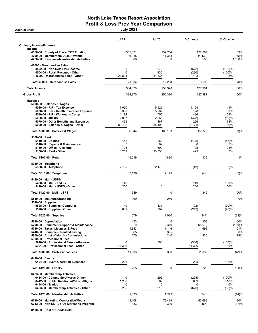# North Lake Tahoe Resort Association Profit & Loss Prev Year Comparison

| <b>Accrual Basis</b>                                                           | <b>July 2021</b>      |                   |                     |                |
|--------------------------------------------------------------------------------|-----------------------|-------------------|---------------------|----------------|
|                                                                                | <b>Jul 21</b>         | <b>Jul 20</b>     | \$ Change           | % Change       |
| <b>Ordinary Income/Expense</b>                                                 |                       |                   |                     |                |
| Income                                                                         |                       |                   |                     |                |
| 4050-00 County of Placer TOT Funding<br>4200-00 · Membership Dues Revenue      | 355,021<br>6,915      | 232,754<br>11,348 | 122,267<br>(4, 432) | 53%<br>(39)%   |
| 4250-00 · Revenues-Membership Activities                                       | 600                   | 50                | 550                 | 1,100%         |
| 46000 · Merchandise Sales                                                      |                       |                   |                     |                |
| 4502-00 · Non-Retail VIC income                                                | 0                     | 672               | (672)               | (100)%         |
| 4504-00 · Retail Revenue - Other<br>46000 · Merchandise Sales - Other          | $\mathbf 0$<br>21,834 | 230<br>11,336     | (230)<br>10,498     | (100)%<br>93%  |
|                                                                                |                       |                   |                     |                |
| Total 46000 · Merchandise Sales<br><b>Total Income</b>                         | 21,834                | 12,238            | 9,596               | 78%<br>50%     |
| <b>Gross Profit</b>                                                            | 384,370               | 256,390           | 127,981             | 50%            |
|                                                                                | 384,370               | 256,390           | 127,981             |                |
| <b>Expense</b><br>5000-00 · Salaries & Wages                                   |                       |                   |                     |                |
| $5020-00 \cdot P/R$ - Tax Expense                                              | 7,050                 | 5,921             | 1,129               | 19%            |
| 5030-00 · P/R - Health Insurance Expense                                       | 5,330                 | 5,202             | 128                 | 3%             |
| 5040-00 · P/R - Workmans Comp                                                  | 1,192                 | 755               | 436                 | 58%            |
| $5060-00 \cdot 401$ (k)                                                        | 2,087                 | 2,565             | (478)               | (19)%          |
| 5070-00 · Other Benefits and Expenses<br>5000-00 · Salaries & Wages - Other    | 463<br>80,722         | 167<br>85,493     | 296<br>(4, 771)     | 178%<br>(6)%   |
| Total 5000-00 · Salaries & Wages                                               | 96,844                | 100,103           | (3,259)             | (3)%           |
| $5100-00 \cdot$ Rent                                                           |                       |                   |                     |                |
| $5110-00 \cdot$ Utilities                                                      | 448                   | 863               | (415)               | (48)%          |
| 5140-00 · Repairs & Maintenance                                                | 87                    | 87                | 0                   | 0%             |
| 5150-00 · Office - Cleaning<br>$5100-00 \cdot$ Rent - Other                    | 725<br>13,759         | 600<br>13,330     | 125<br>429          | 21%<br>3%      |
| Total 5100-00 · Rent                                                           | 15,019                | 14,880            | 139                 | 1%             |
| 5310-00 · Telephone<br>5320-00 · Telephone                                     | 2,136                 | 2,179             | (43)                | (2)%           |
| Total 5310-00 · Telephone                                                      | 2,136                 | 2,179             | (43)                | (2)%           |
|                                                                                |                       |                   |                     |                |
| 5420-00 Mail - USPS<br>5480-00 · Mail - Fed Ex                                 | 149                   | 0                 | 149                 | 100%           |
| 5420-00 · Mail - USPS - Other                                                  | 200                   | 0                 | 200                 | 100%           |
| Total 5420-00 · Mail - USPS                                                    | 349                   | 0                 | 349                 | 100%           |
| 5510-00 · Insurance/Bonding                                                    | 269                   | 269               | 0                   | 0%             |
| $5520-00 \cdot$ Supplies<br>5525-00 · Supplies- Computer                       | 40                    | 131               | (92)                | (70)%          |
| 5520-00 · Supplies - Other                                                     | 639                   | 889               | (249)               | (28)%          |
| Total 5520-00 · Supplies                                                       | 679                   | 1,020             | (341)               | (33)%          |
| 5610-00 Depreciation                                                           | 153                   | 0                 | 153                 | 100%           |
| 5700-00 · Equipment Support & Maintenance                                      | 0                     | 2,379             | (2,379)             | (100)%         |
| 5710-00 · Taxes, Licenses & Fees                                               | 1,843                 | 1,146             | 698                 | 61%            |
| 5740-00 · Equipment Rental/Leasing<br>5850-00 · Artist of Month - Commissions  | 365<br>670            | 365<br>240        | 0<br>430            | 0%<br>179%     |
| 5900-00 · Professional Fees                                                    |                       |                   |                     |                |
| 5910-00 · Professional Fees - Attorneys<br>5921-00 · Professional Fees - Other | 0<br>11,336           | 300<br>0          | (300)<br>11,336     | (100)%<br>100% |
| Total 5900-00 · Professional Fees                                              | 11,336                | 300               | 11,036              | 3,679%         |
| $6420-00 \cdot$ Events                                                         |                       |                   |                     |                |
| 6424-00 · Event Operation Expenses                                             | 225                   | 0                 | 225                 | 100%           |
| Total $6420-00$ $\cdot$ Events                                                 | 225                   | 0                 | 225                 | 100%           |
| 6423-00 · Membership Activities                                                |                       |                   |                     |                |
| 6434-00 · Community Awards Dinner                                              | $\mathbf 0$           | 295               | (295)               | (100)%         |
| 6442-00 · Public Relations/Website/Digita<br>$6444-00 \cdot Trades$            | 1,238<br>0            | 569<br>0          | 669<br>0            | 118%<br>0%     |
| 6423-00 · Membership Activities - Other                                        | 295                   | 915               | (620)               | (68)%          |
| Total 6423-00 · Membership Activities                                          | 1,533                 | 1,779             | (246)               | (14)%          |
| 6730-00 · Marketing Cooperative/Media                                          | 143,108               | 79,439            | 63,669              | 80%            |
| 6742-00 · Non-NLT Co-Op Marketing Program                                      | 333                   | 399               | (66)                | (17)%          |

8100-00 · Cost of Goods Sold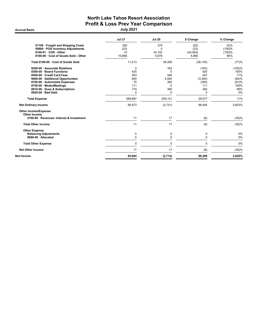# North Lake Tahoe Resort Association Profit & Loss Prev Year Comparison<br>July 2021

**Accrual Basis** 

|                                                                                                                                                                                                                                                | <b>Jul 21</b>                                   | <b>Jul 20</b>                                                  | \$ Change                                                         | % Change                                                     |
|------------------------------------------------------------------------------------------------------------------------------------------------------------------------------------------------------------------------------------------------|-------------------------------------------------|----------------------------------------------------------------|-------------------------------------------------------------------|--------------------------------------------------------------|
| 51100 · Freight and Shipping Costs<br>59900 · POS Inventory Adjustments<br>$8100-01 \cdot CGS - Other$<br>8100-00 · Cost of Goods Sold - Other                                                                                                 | 359<br>(23)<br>10<br>10,868                     | 379<br>$\Omega$<br>43.102<br>5,878                             | (20)<br>(23)<br>(43,093)<br>4,990                                 | (5)%<br>(100)%<br>(100)%<br>85%                              |
| Total 8100-00 · Cost of Goods Sold                                                                                                                                                                                                             | 11,213                                          | 49,359                                                         | (38, 145)                                                         | (77)%                                                        |
| 8200-00 Associate Relations<br>8300-00 · Board Functions<br>8500-00 Credit Card Fees<br>8600-00 · Additional Opportunites<br>8700-00 · Automobile Expenses<br>8750-00 · Meals/Meetings<br>8810-00 · Dues & Subscriptions<br>8920-00 · Bad Debt | 0<br>425<br>593<br>650<br>70<br>111<br>774<br>0 | 163<br>$\Omega$<br>346<br>4,000<br>365<br>$\Omega$<br>390<br>0 | (163)<br>425<br>247<br>(3,350)<br>(295)<br>111<br>384<br>$\Omega$ | (100)%<br>100%<br>71%<br>(84)%<br>(81)%<br>100%<br>99%<br>0% |
| <b>Total Expense</b>                                                                                                                                                                                                                           | 288.697                                         | 259.121                                                        | 29,577                                                            | 11%                                                          |
| <b>Net Ordinary Income</b>                                                                                                                                                                                                                     | 95.673                                          | (2,731)                                                        | 98,404                                                            | 3,603%                                                       |
| <b>Other Income/Expense</b><br>Other Income<br>4700-00 · Revenues- Interest & Investment                                                                                                                                                       | 11                                              | 17                                                             | (6)                                                               | (35)%                                                        |
| <b>Total Other Income</b>                                                                                                                                                                                                                      | 11                                              | 17                                                             | (6)                                                               | (35)%                                                        |
| <b>Other Expense</b><br><b>Balancing Adjustments</b><br>8990-00 · Allocated                                                                                                                                                                    | 0<br>0                                          | 0<br>$\mathbf 0$                                               | 0<br>$\mathbf{0}$                                                 | 0%<br>0%                                                     |
| <b>Total Other Expense</b>                                                                                                                                                                                                                     | $\Omega$                                        | $\Omega$                                                       | $\Omega$                                                          | 0%                                                           |
| <b>Net Other Income</b>                                                                                                                                                                                                                        | 11                                              | 17                                                             | (6)                                                               | (35)%                                                        |
| Net Income                                                                                                                                                                                                                                     | 95,684                                          | (2,714)                                                        | 98,398                                                            | 3,626%                                                       |
|                                                                                                                                                                                                                                                |                                                 |                                                                |                                                                   |                                                              |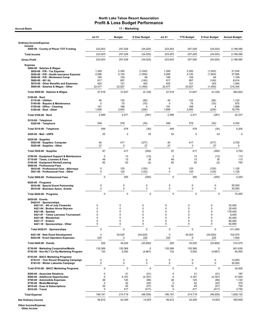## North Lake Tahoe Resort Association Profit & Loss Budget Performance<br>
11 - Marketing

|                                                                                                                                                                                                                                                                        | <b>Jul 21</b>                                 | <b>Budget</b>                                                       | \$ Over Budget                                                        | <b>Jul 21</b>                                              | <b>YTD Budget</b>                                           | \$ Over Budget                                        | <b>Annual Budget</b>                                               |
|------------------------------------------------------------------------------------------------------------------------------------------------------------------------------------------------------------------------------------------------------------------------|-----------------------------------------------|---------------------------------------------------------------------|-----------------------------------------------------------------------|------------------------------------------------------------|-------------------------------------------------------------|-------------------------------------------------------|--------------------------------------------------------------------|
| <b>Ordinary Income/Expense</b><br>Income                                                                                                                                                                                                                               |                                               |                                                                     |                                                                       |                                                            |                                                             |                                                       |                                                                    |
| 4050-00 · County of Placer TOT Funding                                                                                                                                                                                                                                 | 223,003                                       | 257,028                                                             | (34, 025)                                                             | 223,003                                                    | 257,028                                                     | (34, 025)                                             | 2,188,080                                                          |
| <b>Total Income</b>                                                                                                                                                                                                                                                    | 223.003                                       | 257.028                                                             | (34, 025)                                                             | 223,003                                                    | 257,028                                                     | (34, 025)                                             | 2.188.080                                                          |
| <b>Gross Profit</b>                                                                                                                                                                                                                                                    | 223,003                                       | 257,028                                                             | (34, 025)                                                             | 223,003                                                    | 257,028                                                     | (34, 025)                                             | 2,188,080                                                          |
| <b>Expense</b><br>5000-00 · Salaries & Wages<br>5020-00 $\cdot$ P/R - Tax Expense<br>5030-00 · P/R - Health Insurance Expense<br>5040-00 · P/R - Workmans Comp<br>5060-00 $\cdot$ 401 (k)<br>5070-00 Other Benefits and Expenses<br>5000-00 · Salaries & Wages - Other | 1,349<br>2,266<br>185<br>817<br>424<br>22,477 | 2,393<br>4,120<br>129<br>957<br>121<br>23,927                       | (1,043)<br>(1, 854)<br>56<br>(140)<br>303<br>(1,450)                  | 1,349<br>2,266<br>185<br>817<br>424<br>22,477              | 2,393<br>4,120<br>129<br>957<br>121<br>23,927               | (1,043)<br>(1, 854)<br>56<br>(140)<br>303<br>(1, 450) | 21,534<br>37,080<br>1,159<br>8,614<br>1,092<br>215,344             |
| Total 5000-00 · Salaries & Wages                                                                                                                                                                                                                                       | 27,518                                        | 31,647                                                              | (4, 129)                                                              | 27,518                                                     | 31,647                                                      | (4, 129)                                              | 284,822                                                            |
| $5100-00 \cdot$ Rent<br>$5110-00 \cdot$ Utilities<br>5140-00 · Repairs & Maintenance<br>5150-00 Office - Cleaning<br>$5100-00 \cdot$ Rent - Other                                                                                                                      | 40<br>0<br>191<br>1,858                       | 125<br>75<br>188<br>2,083                                           | (85)<br>(75)<br>4<br>(226)                                            | 40<br>$\mathbf 0$<br>191<br>1,858                          | 125<br>75<br>188<br>2,083                                   | (85)<br>(75)<br>$\overline{4}$<br>(226)               | 1,125<br>675<br>1,688<br>18,750                                    |
| Total 5100-00 · Rent                                                                                                                                                                                                                                                   | 2,089                                         | 2,471                                                               | (381)                                                                 | 2,089                                                      | 2,471                                                       | (381)                                                 | 22,237                                                             |
| 5310-00 · Telephone<br>5320-00 · Telephone                                                                                                                                                                                                                             | 549                                           | 578                                                                 | (30)                                                                  | 549                                                        | 578                                                         | (30)                                                  | 5,205                                                              |
| Total 5310-00 · Telephone                                                                                                                                                                                                                                              | 549                                           | 578                                                                 | (30)                                                                  | 549                                                        | 578                                                         | (30)                                                  | 5,205                                                              |
| 5420-00 · Mail - USPS                                                                                                                                                                                                                                                  | 53                                            | $\mathbf 0$                                                         | 53                                                                    | 53                                                         | 0                                                           | 53                                                    |                                                                    |
| $5520-00 \cdot$ Supplies<br>5525-00 · Supplies- Computer<br>5520-00 · Supplies - Other                                                                                                                                                                                 | 40<br>27                                      | 417<br>0                                                            | (377)<br>27                                                           | 40<br>27                                                   | 417<br>0                                                    | (377)<br>27                                           | 3,750<br>0                                                         |
| Total 5520-00 · Supplies                                                                                                                                                                                                                                               | 67                                            | 417                                                                 | (350)                                                                 | 67                                                         | 417                                                         | (350)                                                 | 3,750                                                              |
| 5700-00 · Equipment Support & Maintenance<br>5710-00 · Taxes, Licenses & Fees<br>5740-00 · Equipment Rental/Leasing<br>5900-00 · Professional Fees                                                                                                                     | 0<br>48<br>82                                 | 13<br>13<br>83                                                      | (13)<br>35<br>(2)                                                     | 0<br>48<br>82                                              | 13<br>13<br>83                                              | (13)<br>35<br>(2)                                     | 113<br>113<br>750                                                  |
| 5910-00 · Professional Fees - Attorneys<br>5921-00 · Professional Fees - Other                                                                                                                                                                                         | 0<br>0                                        | 125<br>125                                                          | (125)<br>(125)                                                        | 0<br>0                                                     | 125<br>125                                                  | (125)<br>(125)                                        | 1,125<br>1,125                                                     |
| Total 5900-00 · Professional Fees                                                                                                                                                                                                                                      | 0                                             | 250                                                                 | (250)                                                                 | 0                                                          | 250                                                         | (250)                                                 | 2,250                                                              |
| $6020-00 \cdot$ Programs<br>6016-00 · Special Event Partnership<br>6018-00 · Business Assoc. Grants                                                                                                                                                                    | 0<br>0                                        | $\mathbf 0$<br>0                                                    | 0<br>0                                                                | 0<br>0                                                     | 0<br>0                                                      | 0<br>0                                                | 50,000<br>20,000                                                   |
| Total 6020-00 · Programs                                                                                                                                                                                                                                               | 0                                             | 0                                                                   | $\pmb{0}$                                                             | 0                                                          | $\mathsf 0$                                                 | 0                                                     | 70,000                                                             |
| $6420-00 \cdot$ Events<br>6420-01 · Sponsorships<br>6421-01 · 4th of July Fireworks<br>6421-04 · Broken Arrow Skyrace<br>$6421-06 \cdot$ Spartan<br>6421-07 · Tahoe Lacrosse Tournament<br>6421-09 · Wanderlust<br>6421-17 · Enduro<br>6421-18 · Sponsorships - Other  | 0<br>0<br>$\Omega$<br>0<br>0<br>0<br>0        | 0<br>$\mathbf 0$<br>0<br>$\pmb{0}$<br>0<br>$\mathbf 0$<br>$\pmb{0}$ | 0<br>$\mathbf 0$<br>$\mathbf 0$<br>0<br>$\pmb{0}$<br>$\mathbf 0$<br>0 | 0<br>$\mathbf 0$<br>$\Omega$<br>0<br>0<br>$\mathbf 0$<br>0 | 0<br>$\pmb{0}$<br>$\mathbf 0$<br>0<br>0<br>$\mathbf 0$<br>0 | 0<br>0<br>0<br>0<br>0<br>0<br>0                       | 30,000<br>25,400<br>179,400<br>8,000<br>25,400<br>80,000<br>62,800 |
| Total 6420-01 · Sponsorships                                                                                                                                                                                                                                           | 0                                             | $\pmb{0}$                                                           | 0                                                                     | 0                                                          | 0                                                           | 0                                                     | 411,000                                                            |
| 6421-00 · New Event Development<br>6424-00 · Event Operation Expenses                                                                                                                                                                                                  | 0<br>225                                      | 34,025<br>0                                                         | (34, 025)<br>225                                                      | 0<br>225                                                   | 34,025<br>0                                                 | (34, 025)<br>225                                      | 102,075<br>1,500                                                   |
| Total 6420-00 · Events                                                                                                                                                                                                                                                 | 225                                           | 34,025                                                              | (33,800)                                                              | 225                                                        | 34,025                                                      | (33, 800)                                             | 514,575                                                            |
| 6730-00 · Marketing Cooperative/Media<br>6742-00 · Non-NLT Co-Op Marketing Program                                                                                                                                                                                     | 135,369<br>133                                | 135,369<br>5,000                                                    | 0<br>(4, 867)                                                         | 135,369<br>133                                             | 135,369<br>5,000                                            | $\mathbf 0$<br>(4, 867)                               | 801,630<br>45,000                                                  |
| 6743-00 · BACC Marketing Programs<br>6743-01 · Year Round Shopping Campaign<br>6743-03 · Winter Lakeside Campaign                                                                                                                                                      | 0<br>0                                        | $\pmb{0}$<br>0                                                      | 0<br>0                                                                | 0<br>0                                                     | 0<br>$\mathbf 0$                                            | 0<br>$\mathbf 0$                                      | 14,000<br>20,000                                                   |
| Total 6743-00 · BACC Marketing Programs                                                                                                                                                                                                                                | 0                                             | 0                                                                   | 0                                                                     | 0                                                          | $\mathsf 0$                                                 | 0                                                     | 34,000                                                             |
| 8200-00 · Associate Relations<br>8600-00 · Additional Opportunites<br>8700-00 · Automobile Expenses<br>8750-00 · Meals/Meetings<br>8810-00 · Dues & Subscriptions<br>8910-00 · Travel                                                                                  | 0<br>0<br>26<br>$\mathbf 0$<br>32<br>0        | 21<br>4,167<br>125<br>42<br>83<br>417                               | (21)<br>(4, 167)<br>(99)<br>(42)<br>(51)<br>(417)                     | 0<br>0<br>26<br>$\mathbf 0$<br>32<br>0                     | 21<br>4,167<br>125<br>42<br>83<br>417                       | (21)<br>(4, 167)<br>(99)<br>(42)<br>(51)<br>(417)     | 187<br>37,500<br>1,125<br>375<br>750<br>3,750                      |
| <b>Total Expense</b>                                                                                                                                                                                                                                                   | 166,191                                       | 214,719                                                             | (48, 528)                                                             | 166,191                                                    | 214,719                                                     | (48, 528)                                             | 1,828,132                                                          |
| <b>Net Ordinary Income</b>                                                                                                                                                                                                                                             | 56,812                                        | 42,309                                                              | 14,503                                                                | 56,812                                                     | 42,309                                                      | 14,503                                                | 359,948                                                            |

Other Income/Expense Other Income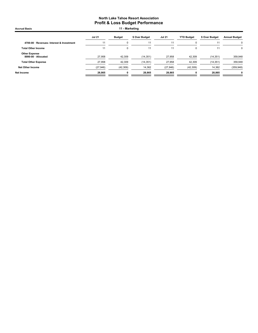Jul 21 Budget \$ Over Budget Jul 21 YTD Budget \$ Over Budget Annual Budget 4700-00 · Revenues- Interest & Investment 11 1 0 11 11 0 11 11 11 0 11 11 0 11 Total Other Income 11 0 11 11 0 11 0 Other Expense 8990-00 · Allocated 27,958 42,309 (14,351) 27,958 42,309 (14,351) 359,948 Total Other Expense 27,958 42,309 (14,351) 27,958 42,309 (14,351) 359,948 Net Other Income (27,946) (42,309) 14,362 (27,946) (42,309) 14,362 (359,948) Net Income 28,865 0 28,865 28,865 0 Accrual Basis **11 - Marketing**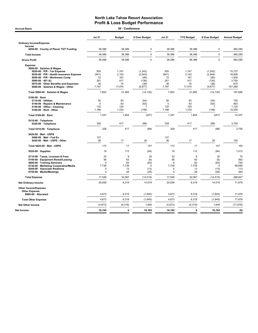| <b>Jul 21</b>                                        | <b>Budget</b>                      | \$ Over Budget                         | <b>Jul 21</b>                                        | <b>YTD Budget</b>                  | \$ Over Budget                                | <b>Annual Budget</b>                     |
|------------------------------------------------------|------------------------------------|----------------------------------------|------------------------------------------------------|------------------------------------|-----------------------------------------------|------------------------------------------|
|                                                      |                                    |                                        |                                                      |                                    |                                               |                                          |
| 38,386                                               | 38,386                             | 0                                      | 38,386                                               | 38,386                             | 0                                             | 360,285                                  |
| 38,386                                               | 38,386                             | $\pmb{0}$                              | 38,386                                               | 38,386                             | $\mathbf 0$                                   | 360,285                                  |
| 38,386                                               | 38,386                             | $\mathbf 0$                            | 38,386                                               | 38,386                             | $\Omega$                                      | 360,285                                  |
| 505                                                  | 1,747                              | (1, 242)                               | 505                                                  | 1,747                              | (1, 242)                                      | 15,727                                   |
| 72                                                   | 167                                | (95)                                   | 72                                                   | 167                                | (95)                                          | 18,926<br>1.500                          |
| 281                                                  | 417                                | (136)                                  | 281                                                  | 417                                | (136)                                         | 3,750                                    |
| 7,797                                                | 17,474                             | (9,677)                                | 7,797                                                | 17,474                             | (9,677)                                       | 675<br>157,268                           |
| 7,853                                                | 21,983                             | (14, 130)                              | 7,853                                                | 21,983                             | (14, 130)                                     | 197,846                                  |
| 30<br>$\Omega$<br>132<br>1,186                       | 83<br>63<br>125<br>1,333           | (54)<br>(63)<br>7<br>(148)             | 30<br>$\Omega$<br>132<br>1,186                       | 83<br>63<br>125<br>1,333           | (54)<br>(63)<br>$\overline{7}$<br>(148)       | 750<br>563<br>1,125<br>12,000            |
| 1,347                                                | 1,604                              | (257)                                  | 1,347                                                | 1,604                              | (257)                                         | 14,437                                   |
| 328                                                  | 417                                | (88)                                   | 328                                                  | 417                                | (88)                                          | 3,750                                    |
| 328                                                  | 417                                | (88)                                   | 328                                                  | 417                                | (88)                                          | 3,750                                    |
| 137<br>36                                            | 17                                 | 20                                     | 137<br>36                                            | 17                                 | 20                                            | 150                                      |
| 173                                                  | 17                                 | 157                                    | 173                                                  | 17                                 | 157                                           | 150                                      |
| 19                                                   | 113                                | (94)                                   | 19                                                   | 113                                | (94)                                          | 1,013                                    |
| 33<br>56<br>$\mathbf 0$<br>7,739<br>0<br>$\mathbf 0$ | 8<br>63<br>83<br>7,739<br>13<br>29 | 25<br>(6)<br>(83)<br>0<br>(13)<br>(29) | 33<br>56<br>$\mathbf 0$<br>7,739<br>$\mathbf 0$<br>0 | 8<br>63<br>83<br>7,739<br>13<br>29 | 25<br>(6)<br>(83)<br>$\Omega$<br>(13)<br>(29) | 75<br>563<br>750<br>69,648<br>113<br>263 |
| 17,548                                               | 32,067                             | (14, 519)                              | 17,548                                               | 32,067                             | (14, 519)                                     | 288,607                                  |
| 20,838                                               | 6,319                              | 14,519                                 | 20,838                                               | 6,319                              | 14,519                                        | 71,678                                   |
|                                                      |                                    |                                        |                                                      |                                    |                                               |                                          |
| 4,673                                                | 6,319                              | (1,645)                                | 4,673                                                | 6,319                              | (1,645)                                       | 71,678                                   |
| 4,673                                                | 6,319                              | (1,645)                                | 4,673                                                | 6,319                              | (1,645)                                       | 71,678                                   |
| (4, 673)                                             | (6, 319)                           | 1,645                                  | (4, 673)                                             | (6, 319)                           | 1,645                                         | (71, 678)                                |
| 16,165                                               | 0                                  | 16,165                                 | 16,165                                               | 0                                  | 16,165                                        | (0)                                      |
|                                                      | (841)<br>39                        | 2,103<br>75                            | 30 - Conference<br>(2,944)<br>(36)                   | (841)<br>39                        | 2,103<br>75                                   | (2,944)<br>(36)                          |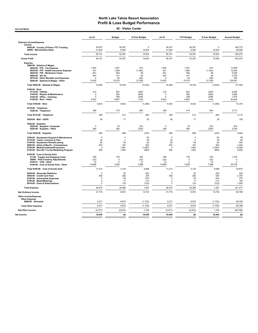| <b>Jul 21</b><br><b>Budget</b><br>\$ Over Budget<br><b>Jul 21</b><br><b>YTD Budget</b><br>\$ Over Budget<br><b>Ordinary Income/Expense</b><br>Income<br>4050-00 · County of Placer TOT Funding<br>36,357<br>36,357<br>$\mathbf 0$<br>36,357<br>36,357<br>$\mathbf 0$<br>6,000<br>15,834<br>46000 · Merchandise Sales<br>21,834<br>6,000<br>15,834<br>21,834<br>58,191<br>42,357<br>15,834<br>58,191<br>42,357<br>15,834<br><b>Total Income</b><br>42,357<br>15,834<br>42,357<br>15,834<br><b>Gross Profit</b><br>58,191<br>58,191<br>Expense<br>5000-00 · Salaries & Wages<br>1,504<br>1,551<br>(47)<br>1,504<br>1,551<br>5020-00 · P/R - Tax Expense<br>(47)<br>1,583<br>1,583<br>241<br>(1, 342)<br>241<br>(1, 342)<br>5030-00 · P/R - Health Insurance Expense<br>641<br>583<br>58<br>641<br>583<br>58<br>5040-00 · P/R - Workmans Comp<br>507<br>417<br>90<br>507<br>417<br>90<br>$5060-00 \cdot 401$ (k)<br>5070-00 · Other Benefits and Expenses<br>$\mathbf 0$<br>83<br>(83)<br>$\mathbf 0$<br>83<br>(83)<br>13,402<br>15,510<br>(2, 108)<br>13,402<br>15,510<br>(2, 108)<br>5000-00 · Salaries & Wages - Other<br>Total 5000-00 · Salaries & Wages<br>16,295<br>19,728<br>(3, 433)<br>16,295<br>19,728<br>(3, 433)<br>5100-00 · Rent<br>312<br>667<br>667<br>(355)<br>312<br>(355)<br>5110-00 · Utilities<br>500<br>(500)<br>500<br>(500)<br>5140-00 · Repairs & Maintenance<br>$\mathbf 0$<br>$\mathsf 0$<br>208<br>(208)<br>$\mathbf 0$<br>$\mathbf 0$<br>208<br>(208)<br>5150-00 · Office - Cleaning<br>6,667<br>(145)<br>6,522<br>6,667<br>(145)<br>5100-00 · Rent - Other<br>6,522<br>Total 5100-00 · Rent<br>6,833<br>8,042<br>(1,208)<br>6,833<br>8,042<br>(1,208)<br>5310-00 · Telephone<br>5320-00 · Telephone<br>328<br>413<br>(84)<br>328<br>413<br>(84)<br>328<br>413<br>(84)<br>328<br>413<br>(84)<br>Total 5310-00 · Telephone<br>36<br>17<br>20<br>36<br>17<br>20<br>5420-00 · Mail - USPS<br>$5520-00 \cdot$ Supplies<br>5525-00 · Supplies- Computer<br>75<br>(75)<br>75<br>$\mathbf 0$<br>$\mathbf 0$<br>(75)<br>583<br>284<br>5520-00 · Supplies - Other<br>284<br>(300)<br>583<br>(300) |                                                      |
|---------------------------------------------------------------------------------------------------------------------------------------------------------------------------------------------------------------------------------------------------------------------------------------------------------------------------------------------------------------------------------------------------------------------------------------------------------------------------------------------------------------------------------------------------------------------------------------------------------------------------------------------------------------------------------------------------------------------------------------------------------------------------------------------------------------------------------------------------------------------------------------------------------------------------------------------------------------------------------------------------------------------------------------------------------------------------------------------------------------------------------------------------------------------------------------------------------------------------------------------------------------------------------------------------------------------------------------------------------------------------------------------------------------------------------------------------------------------------------------------------------------------------------------------------------------------------------------------------------------------------------------------------------------------------------------------------------------------------------------------------------------------------------------------------------------------------------------------------------------------------------------------------------------------------------------------------------------------------------------------------------------------------------------------------------------------------------------------------------------------|------------------------------------------------------|
|                                                                                                                                                                                                                                                                                                                                                                                                                                                                                                                                                                                                                                                                                                                                                                                                                                                                                                                                                                                                                                                                                                                                                                                                                                                                                                                                                                                                                                                                                                                                                                                                                                                                                                                                                                                                                                                                                                                                                                                                                                                                                                                     | <b>Annual Budget</b>                                 |
|                                                                                                                                                                                                                                                                                                                                                                                                                                                                                                                                                                                                                                                                                                                                                                                                                                                                                                                                                                                                                                                                                                                                                                                                                                                                                                                                                                                                                                                                                                                                                                                                                                                                                                                                                                                                                                                                                                                                                                                                                                                                                                                     |                                                      |
|                                                                                                                                                                                                                                                                                                                                                                                                                                                                                                                                                                                                                                                                                                                                                                                                                                                                                                                                                                                                                                                                                                                                                                                                                                                                                                                                                                                                                                                                                                                                                                                                                                                                                                                                                                                                                                                                                                                                                                                                                                                                                                                     | 342,770<br>59,500                                    |
|                                                                                                                                                                                                                                                                                                                                                                                                                                                                                                                                                                                                                                                                                                                                                                                                                                                                                                                                                                                                                                                                                                                                                                                                                                                                                                                                                                                                                                                                                                                                                                                                                                                                                                                                                                                                                                                                                                                                                                                                                                                                                                                     | 402,270                                              |
|                                                                                                                                                                                                                                                                                                                                                                                                                                                                                                                                                                                                                                                                                                                                                                                                                                                                                                                                                                                                                                                                                                                                                                                                                                                                                                                                                                                                                                                                                                                                                                                                                                                                                                                                                                                                                                                                                                                                                                                                                                                                                                                     | 402,270                                              |
|                                                                                                                                                                                                                                                                                                                                                                                                                                                                                                                                                                                                                                                                                                                                                                                                                                                                                                                                                                                                                                                                                                                                                                                                                                                                                                                                                                                                                                                                                                                                                                                                                                                                                                                                                                                                                                                                                                                                                                                                                                                                                                                     | 13,959<br>14,250<br>5,250<br>3,750<br>750<br>139,591 |
|                                                                                                                                                                                                                                                                                                                                                                                                                                                                                                                                                                                                                                                                                                                                                                                                                                                                                                                                                                                                                                                                                                                                                                                                                                                                                                                                                                                                                                                                                                                                                                                                                                                                                                                                                                                                                                                                                                                                                                                                                                                                                                                     | 177,550                                              |
|                                                                                                                                                                                                                                                                                                                                                                                                                                                                                                                                                                                                                                                                                                                                                                                                                                                                                                                                                                                                                                                                                                                                                                                                                                                                                                                                                                                                                                                                                                                                                                                                                                                                                                                                                                                                                                                                                                                                                                                                                                                                                                                     | 6,000<br>4,500<br>1,875<br>60,000                    |
|                                                                                                                                                                                                                                                                                                                                                                                                                                                                                                                                                                                                                                                                                                                                                                                                                                                                                                                                                                                                                                                                                                                                                                                                                                                                                                                                                                                                                                                                                                                                                                                                                                                                                                                                                                                                                                                                                                                                                                                                                                                                                                                     | 72,375                                               |
|                                                                                                                                                                                                                                                                                                                                                                                                                                                                                                                                                                                                                                                                                                                                                                                                                                                                                                                                                                                                                                                                                                                                                                                                                                                                                                                                                                                                                                                                                                                                                                                                                                                                                                                                                                                                                                                                                                                                                                                                                                                                                                                     | 3,713                                                |
|                                                                                                                                                                                                                                                                                                                                                                                                                                                                                                                                                                                                                                                                                                                                                                                                                                                                                                                                                                                                                                                                                                                                                                                                                                                                                                                                                                                                                                                                                                                                                                                                                                                                                                                                                                                                                                                                                                                                                                                                                                                                                                                     | 3,713                                                |
|                                                                                                                                                                                                                                                                                                                                                                                                                                                                                                                                                                                                                                                                                                                                                                                                                                                                                                                                                                                                                                                                                                                                                                                                                                                                                                                                                                                                                                                                                                                                                                                                                                                                                                                                                                                                                                                                                                                                                                                                                                                                                                                     | 150                                                  |
|                                                                                                                                                                                                                                                                                                                                                                                                                                                                                                                                                                                                                                                                                                                                                                                                                                                                                                                                                                                                                                                                                                                                                                                                                                                                                                                                                                                                                                                                                                                                                                                                                                                                                                                                                                                                                                                                                                                                                                                                                                                                                                                     | 675<br>5,250                                         |
| 658<br>(375)<br>658<br>(375)<br>284<br>284<br>Total 5520-00 · Supplies                                                                                                                                                                                                                                                                                                                                                                                                                                                                                                                                                                                                                                                                                                                                                                                                                                                                                                                                                                                                                                                                                                                                                                                                                                                                                                                                                                                                                                                                                                                                                                                                                                                                                                                                                                                                                                                                                                                                                                                                                                              | 5,925                                                |
| 5700-00 · Equipment Support & Maintenance<br>$^{\circ}$<br>$\overline{4}$<br>(4)<br>$\mathbf 0$<br>(4)<br>$\overline{4}$<br>5710-00 · Taxes, Licenses & Fees<br>33<br>$\overline{4}$<br>29<br>33<br>29<br>$\overline{4}$<br>5740-00 · Equipment Rental/Leasing<br>56<br>63<br>(6)<br>56<br>63<br>(6)<br>5850-00 · Artist of Month - Commissions<br>670<br>167<br>503<br>670<br>167<br>503<br>6740-00 · Media/Collateral/Production<br>0<br>1,667<br>(1,667)<br>$\mathbf 0$<br>1,667<br>(1,667)<br>6742-00 · Non-NLT Co-Op Marketing Program<br>200<br>200<br>(800)<br>1,000<br>1,000<br>(800)                                                                                                                                                                                                                                                                                                                                                                                                                                                                                                                                                                                                                                                                                                                                                                                                                                                                                                                                                                                                                                                                                                                                                                                                                                                                                                                                                                                                                                                                                                                       | 38<br>38<br>563<br>1,500<br>15,000<br>9,000          |
| 8100-00 · Cost of Goods Sold<br>51100 · Freight and Shipping Costs<br>359<br>125<br>234<br>359<br>125<br>234<br>59900 · POS Inventory Adjustments<br>(23)<br>$\Omega$<br>(23)<br>(23)<br>$\Omega$<br>(23)<br>8100-01 · CGS - Other<br>10<br>$\mathbf 0$<br>10<br>10<br>$\mathbf 0$<br>10<br>8100-00 · Cost of Goods Sold - Other<br>3,000<br>7,868<br>3,000<br>10,868<br>10,868<br>7,868                                                                                                                                                                                                                                                                                                                                                                                                                                                                                                                                                                                                                                                                                                                                                                                                                                                                                                                                                                                                                                                                                                                                                                                                                                                                                                                                                                                                                                                                                                                                                                                                                                                                                                                            | 1,125<br>$\Omega$<br>$\mathbf 0$<br>29,750           |
| 11,213<br>3,125<br>8,088<br>11,213<br>3,125<br>8,088<br>Total 8100-00 · Cost of Goods Sold                                                                                                                                                                                                                                                                                                                                                                                                                                                                                                                                                                                                                                                                                                                                                                                                                                                                                                                                                                                                                                                                                                                                                                                                                                                                                                                                                                                                                                                                                                                                                                                                                                                                                                                                                                                                                                                                                                                                                                                                                          | 30,875                                               |
| 25<br>(25)<br>25<br>(25)<br>8200-00 · Associate Relations<br>0<br>0<br>8500-00 · Credit Card Fees<br>526<br>282<br>244<br>526<br>282<br>244<br>8700-00 · Automobile Expenses<br>42<br>(42)<br>42<br>(42)<br>$\mathbf 0$<br>$\mathbf 0$<br>8750-00 · Meals/Meetings<br>$\mathsf 0$<br>17<br>(17)<br>$\mathbf 0$<br>17<br>(17)<br>8810-00 · Dues & Subscriptions<br>$\mathsf 0$<br>133<br>(133)<br>$\Omega$<br>133<br>(133)                                                                                                                                                                                                                                                                                                                                                                                                                                                                                                                                                                                                                                                                                                                                                                                                                                                                                                                                                                                                                                                                                                                                                                                                                                                                                                                                                                                                                                                                                                                                                                                                                                                                                           | 225<br>2,797<br>375<br>150<br>1,200                  |
| <b>Total Expense</b><br>36,475<br>35,385<br>1,091<br>36,475<br>35,385<br>1,091                                                                                                                                                                                                                                                                                                                                                                                                                                                                                                                                                                                                                                                                                                                                                                                                                                                                                                                                                                                                                                                                                                                                                                                                                                                                                                                                                                                                                                                                                                                                                                                                                                                                                                                                                                                                                                                                                                                                                                                                                                      | 321,471                                              |
| 6,972<br>14,743<br>6,972<br><b>Net Ordinary Income</b><br>21,716<br>21,716<br>14,743                                                                                                                                                                                                                                                                                                                                                                                                                                                                                                                                                                                                                                                                                                                                                                                                                                                                                                                                                                                                                                                                                                                                                                                                                                                                                                                                                                                                                                                                                                                                                                                                                                                                                                                                                                                                                                                                                                                                                                                                                                | 80,798                                               |
| Other Income/Expense<br><b>Other Expense</b><br>8990-00 · Allocated<br>5,271<br>6,972<br>(1,702)<br>5,271<br>6,972<br>(1,702)                                                                                                                                                                                                                                                                                                                                                                                                                                                                                                                                                                                                                                                                                                                                                                                                                                                                                                                                                                                                                                                                                                                                                                                                                                                                                                                                                                                                                                                                                                                                                                                                                                                                                                                                                                                                                                                                                                                                                                                       | 80,798                                               |
| <b>Total Other Expense</b><br>5,271<br>6,972<br>(1,702)<br>5,271<br>6,972<br>(1,702)                                                                                                                                                                                                                                                                                                                                                                                                                                                                                                                                                                                                                                                                                                                                                                                                                                                                                                                                                                                                                                                                                                                                                                                                                                                                                                                                                                                                                                                                                                                                                                                                                                                                                                                                                                                                                                                                                                                                                                                                                                | 80,798                                               |
| 1,702<br>(5,271)<br>(6,972)<br>1,702<br>(6, 972)<br>Net Other Income<br>(5,271)                                                                                                                                                                                                                                                                                                                                                                                                                                                                                                                                                                                                                                                                                                                                                                                                                                                                                                                                                                                                                                                                                                                                                                                                                                                                                                                                                                                                                                                                                                                                                                                                                                                                                                                                                                                                                                                                                                                                                                                                                                     | (80, 798)                                            |
| 16,445<br>16,445<br>16,445<br>(0)<br>16,445<br>(0)<br>Net Income                                                                                                                                                                                                                                                                                                                                                                                                                                                                                                                                                                                                                                                                                                                                                                                                                                                                                                                                                                                                                                                                                                                                                                                                                                                                                                                                                                                                                                                                                                                                                                                                                                                                                                                                                                                                                                                                                                                                                                                                                                                    | (0)                                                  |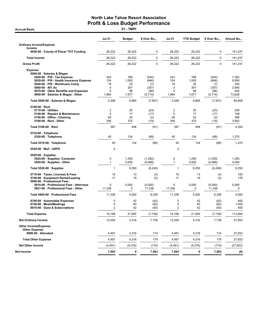**Accrual Basis** 

|                                                                                                                                                                | <b>Jul 21</b>                 | <b>Budget</b>         | \$ Over Bu                  | <b>Jul 21</b>           | <b>YTD Budget</b>     | \$ Over Bu                  | <b>Annual Bu</b>           |
|----------------------------------------------------------------------------------------------------------------------------------------------------------------|-------------------------------|-----------------------|-----------------------------|-------------------------|-----------------------|-----------------------------|----------------------------|
| <b>Ordinary Income/Expense</b>                                                                                                                                 |                               |                       |                             |                         |                       |                             |                            |
| Income<br>4050-00 County of Placer TOT Funding                                                                                                                 | 26,222                        | 26,222                | 0                           | 26,222                  | 26,222                | 0                           | 141,237                    |
| <b>Total Income</b>                                                                                                                                            | 26,222                        | 26,222                | $\mathbf 0$                 | 26,222                  | 26,222                | $\mathbf 0$                 | 141,237                    |
| <b>Gross Profit</b>                                                                                                                                            | 26,222                        | 26,222                | $\mathbf 0$                 | 26,222                  | 26,222                | $\pmb{0}$                   | 141,237                    |
| <b>Expense</b><br>5000-00 · Salaries & Wages<br>$5020-00 \cdot P/R$ - Tax Expense<br>5030-00 · P/R - Health Insurance Expense<br>5040-00 · P/R - Workmans Comp | 223<br>154<br>18              | 768<br>1,000<br>25    | (544)<br>(846)<br>(7)       | 223<br>154<br>18        | 768<br>1,000<br>25    | (544)<br>(846)<br>(7)       | 7,363<br>9,590<br>240      |
| 5060-00 $\cdot$ 401 (k)<br>5070-00 Other Benefits and Expenses                                                                                                 | 0<br>0                        | 307<br>88             | (307)<br>(88)               | $\Omega$<br>$\mathbf 0$ | 307<br>88             | (307)<br>(88)               | 2,945<br>842               |
| 5000-00 · Salaries & Wages - Other                                                                                                                             | 1,964                         | 7,677                 | (5,714)                     | 1,964                   | 7,677                 | (5,714)                     | 73,628                     |
| Total 5000-00 · Salaries & Wages                                                                                                                               | 2,358                         | 9,865                 | (7, 507)                    | 2,358                   | 9,865                 | (7, 507)                    | 94,608                     |
| 5100-00 · Rent<br>5110-00 · Utilities<br>5140-00 · Repairs & Maintenance<br>5150-00 · Office - Cleaning<br>5100-00 · Rent - Other                              | 2<br>$\mathbf 0$<br>40<br>356 | 25<br>17<br>42<br>375 | (23)<br>(17)<br>(2)<br>(19) | 2<br>0<br>40<br>356     | 25<br>17<br>42<br>375 | (23)<br>(17)<br>(2)<br>(19) | 238<br>158<br>396<br>3,563 |
| Total 5100-00 · Rent                                                                                                                                           | 397                           | 458                   | (61)                        | 397                     | 458                   | (61)                        | 4,354                      |
| 5310-00 · Telephone<br>5320-00 · Telephone                                                                                                                     | 45                            | 134                   | (89)                        | 45                      | 134                   | (89)                        | 1,275                      |
| Total 5310-00 · Telephone                                                                                                                                      | 45                            | 134                   | (89)                        | 45                      | 134                   | (89)                        | 1,275                      |
| 5420-00 · Mail - USPS                                                                                                                                          | $\overline{2}$                |                       |                             | $\overline{2}$          |                       |                             |                            |
| $5520-00 \cdot$ Supplies<br>5525-00 · Supplies- Computer<br>5520-00 · Supplies - Other                                                                         | 0<br>1                        | 1,250<br>5,000        | (1,250)<br>(4,999)          | 0<br>$\mathbf{1}$       | 1,250<br>5,000        | (1,250)<br>(4,999)          | 1,250<br>5,000             |
| Total 5520-00 $\cdot$ Supplies                                                                                                                                 | 1                             | 6,250                 | (6, 249)                    | $\mathbf{1}$            | 6,250                 | (6, 249)                    | 6,250                      |
| 5710-00 · Taxes, Licenses & Fees<br>5740-00 · Equipment Rental/Leasing<br>5900-00 · Professional Fees                                                          | 10<br>17                      | 13<br>19              | (3)<br>(2)                  | 10<br>17                | 13<br>19              | (3)<br>(2)                  | 120<br>178                 |
| 5910-00 · Professional Fees - Attorneys<br>5921-00 · Professional Fees - Other                                                                                 | $\mathbf 0$<br>11,336         | 5,000<br>0            | (5,000)<br>11,336           | 0<br>11,336             | 5,000<br>0            | (5,000)<br>11,336           | 5,000<br>0                 |
| Total 5900-00 · Professional Fees                                                                                                                              | 11,336                        | 5,000                 | 6,336                       | 11,336                  | 5,000                 | 6,336                       | 5,000                      |
| 8700-00 · Automobile Expenses<br>8750-00 · Meals/Meetings<br>8810-00 · Dues & Subscriptions                                                                    | 0<br>0<br>2                   | 42<br>83<br>42        | (42)<br>(83)<br>(40)        | 0<br>0<br>2             | 42<br>83<br>42        | (42)<br>(83)<br>(40)        | 400<br>1,000<br>400        |
| <b>Total Expense</b>                                                                                                                                           | 14,168                        | 21,905                | (7, 738)                    | 14,168                  | 21,905                | (7, 738)                    | 113,584                    |
| <b>Net Ordinary Income</b>                                                                                                                                     | 12,054                        | 4,316                 | 7,738                       | 12,054                  | 4,316                 | 7,738                       | 27,653                     |
| <b>Other Income/Expense</b><br><b>Other Expense</b>                                                                                                            |                               |                       |                             |                         |                       |                             |                            |
| 8990-00 · Allocated                                                                                                                                            | 4,491                         | 4,316                 | 174                         | 4,491                   | 4,316                 | 174                         | 27,653                     |
| <b>Total Other Expense</b>                                                                                                                                     | 4,491                         | 4,316                 | 174                         | 4,491                   | 4,316                 | 174                         | 27,653                     |
| <b>Net Other Income</b>                                                                                                                                        | (4, 491)                      | (4,316)               | (174)                       | (4, 491)                | (4, 316)              | (174)                       | (27, 653)                  |
| Net Income                                                                                                                                                     | 7,563                         | 0                     | 7,563                       | 7,563                   | 0                     | 7,563                       | (0)                        |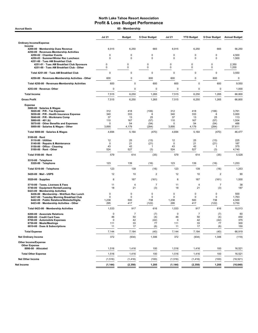| <b>Accrual Basis</b>                                                                  |                   | 60 - Membership  |                      |                   |                   |                  |                      |
|---------------------------------------------------------------------------------------|-------------------|------------------|----------------------|-------------------|-------------------|------------------|----------------------|
|                                                                                       | <b>Jul 21</b>     | <b>Budget</b>    | \$ Over Budget       | Jul 21            | <b>YTD Budget</b> | \$ Over Budget   | <b>Annual Budget</b> |
| <b>Ordinary Income/Expense</b>                                                        |                   |                  |                      |                   |                   |                  |                      |
| Income<br>4200-00 · Membership Dues Revenue                                           | 6,915             | 6,250            | 665                  | 6,915             | 6,250             | 665              | 56,250               |
| 4250-00 · Revenues-Membership Activities                                              |                   |                  |                      |                   |                   |                  |                      |
| 4250-02 · Chamber Events<br>4250-03 · Summer/Winter Rec Luncheon                      | 0<br>0            | 0<br>0           | 0<br>$\Omega$        | 0<br>0            | 0<br>$\mathbf 0$  | 0<br>0           | 4,500<br>1,500       |
| 4251-00 · Tues AM Breakfast Club                                                      |                   |                  |                      |                   |                   |                  |                      |
| 4251-01 · Tues AM Breakfast Club Sponsors<br>4251-00 · Tues AM Breakfast Club - Other | $\mathbf 0$<br>0  | 0<br>$\mathbf 0$ | 0<br>$\mathbf 0$     | 0<br>0            | 0<br>$\mathbf 0$  | 0<br>$\mathbf 0$ | 2,350<br>1,200       |
| Total 4251-00 · Tues AM Breakfast Club                                                | $\mathbf 0$       | 0                | $\mathbf 0$          | $\mathbf 0$       | $\mathbf 0$       | 0                | 3,550                |
| 4250-00 · Revenues-Membership Activities - Other                                      | 600               | 0                | 600                  | 600               | $\mathbf 0$       | 600              | $\mathbf 0$          |
| Total 4250-00 · Revenues-Membership Activities                                        | 600               | 0                | 600                  | 600               | $\mathbf 0$       | 600              | 9,550                |
| 4253-00 · Revenue- Other                                                              | $\pmb{0}$         | 0                | $\mathsf 0$          | $\pmb{0}$         | $\mathbf 0$       | 0                | 1,000                |
| <b>Total Income</b>                                                                   | 7,515             | 6,250            | 1,265                | 7,515             | 6,250             | 1,265            | 66,800               |
| <b>Gross Profit</b>                                                                   | 7,515             | 6,250            | 1,265                | 7,515             | 6,250             | 1,265            | 66,800               |
| <b>Expense</b>                                                                        |                   |                  |                      |                   |                   |                  |                      |
| 5000-00 · Salaries & Wages<br>5020-00 · P/R - Tax Expense                             | 312               | 418              | (106)                | 312               | 418               | (106)            | 3,761                |
| 5030-00 · P/R - Health Insurance Expense                                              | 340               | 333              | 6                    | 340               | 333               | 6                | 3,000                |
| 5040-00 · P/R - Workmans Comp<br>5060-00 $\cdot$ 401 (k)                              | 37<br>110         | 13<br>167        | 25<br>(57)           | 37<br>110         | 13<br>167         | 25<br>(57)       | 113<br>1,504         |
| 5070-00 Other Benefits and Expenses<br>5000-00 · Salaries & Wages - Other             | $\Omega$<br>3,895 | 54<br>4,179      | (54)<br>(284)        | O<br>3,895        | 54<br>4,179       | (54)             | 488<br>37,611        |
| Total 5000-00 · Salaries & Wages                                                      | 4,694             | 5,164            | (470)                | 4,694             | 5,164             | (284)<br>(470)   | 46,477               |
| $5100-00 \cdot$ Rent                                                                  |                   |                  |                      |                   |                   |                  |                      |
| 5110-00 · Utilities                                                                   | 12                | 25               | (13)                 | 12                | 25                | (13)             | 225                  |
| 5140-00 · Repairs & Maintenance<br>5150-00 Office - Cleaning                          | 0<br>43           | 21<br>42         | (21)<br>$\mathbf{1}$ | $\mathbf 0$<br>43 | 21<br>42          | (21)<br>1        | 187<br>375           |
| 5100-00 · Rent - Other                                                                | 524               | 527              | (3)                  | 524               | 527               | (3)              | 4,740                |
| Total 5100-00 · Rent                                                                  | 579               | 614              | (35)                 | 579               | 614               | (35)             | 5,528                |
| 5310-00 · Telephone<br>5320-00 · Telephone                                            | 123               | 139              | (16)                 | 123               | 139               | (16)             | 1,253                |
| Total 5310-00 · Telephone                                                             | 123               | 139              | (16)                 | 123               | 139               | (16)             | 1,253                |
| 5420-00 Mail - USPS                                                                   | 12                | 10               | $\overline{2}$       | 12                | 10                | $\overline{2}$   | 90                   |
| $5520-00 \cdot$ Supplies                                                              | 6                 | 167              | (161)                | 6                 | 167               | (161)            | 1,500                |
| 5710-00 · Taxes, Licenses & Fees                                                      | 11                | $\overline{4}$   | $\overline{7}$       | 11                | $\overline{4}$    | $\overline{7}$   | 38                   |
| 5740-00 · Equipment Rental/Leasing                                                    | 18                | 21               | (3)                  | 18                | 21                | (3)              | 187                  |
| 6423-00 · Membership Activities<br>6436-00 · Membership - Wnt/Sum Rec Lunch           | 0                 | 0                | 0                    | 0                 | 0                 | 0                | 500                  |
| 6437-00 · Tuesday Morning Breakfast Club                                              | 0                 | 0                | 0                    | 0                 | $\mathbf 0$       | 0                | 1,763                |
| 6442-00 · Public Relations/Website/Digita<br>6423-00 · Membership Activities - Other  | 1,238<br>295      | 500<br>417       | 738<br>(122)         | 1,238<br>295      | 500<br>417        | 738<br>(122)     | 4,500<br>3,750       |
| Total 6423-00 · Membership Activities                                                 | 1,533             | 917              | 616                  | 1,533             | 917               | 616              | 10,513               |
| 8200-00 · Associate Relations                                                         | 0                 | 7                | (7)                  | 0                 | 7                 | (7)              | 60                   |
| 8500-00 · Credit Card Fees<br>8700-00 · Automobile Expenses                           | 46<br>$\pmb{0}$   | 50<br>42         | (4)<br>(42)          | 46<br>0           | 50<br>42          | (4)<br>(42)      | 450<br>375           |
| 8750-00 · Meals/Meetings                                                              | 111               | 33               | 77                   | 111               | 33                | 77               | 300                  |
| 8810-00 · Dues & Subscriptions                                                        | 11                | 17               | (6)                  | 11                | 17                | (6)              | 150                  |
| <b>Total Expense</b>                                                                  | 7,144             | 7,184            | (40)                 | 7,144             | 7,184             | (40)             | 66,919               |
| <b>Net Ordinary Income</b>                                                            | 372               | (934)            | 1,306                | 372               | (934)             | 1,306            | (119)                |
| Other Income/Expense<br><b>Other Expense</b>                                          |                   |                  |                      |                   |                   |                  |                      |
| 8990-00 · Allocated                                                                   | 1,516             | 1,416            | 100                  | 1,516             | 1,416             | 100              | 16,521               |
| <b>Total Other Expense</b>                                                            | 1,516             | 1,416            | 100                  | 1,516             | 1,416             | 100              | 16,521               |
| <b>Net Other Income</b>                                                               | (1, 516)          | (1, 416)         | (100)                | (1, 516)          | (1, 416)          | (100)            | (16, 521)            |
| <b>Net Income</b>                                                                     | (1, 144)          | (2, 350)         | 1,205                | (1, 144)          | (2, 350)          | 1,205            | (16, 640)            |
|                                                                                       |                   |                  |                      |                   |                   |                  |                      |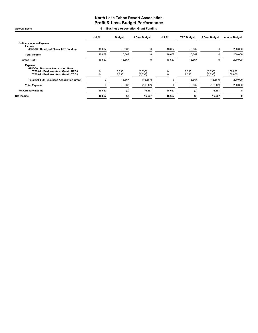Accrual Basis 61 - Business Association Grant Funding

|                                                                                                                                        | <b>Jul 21</b> | <b>Budget</b>  | \$ Over Budget       | <b>Jul 21</b> | <b>YTD Budget</b> | \$ Over Budget      | <b>Annual Budget</b> |
|----------------------------------------------------------------------------------------------------------------------------------------|---------------|----------------|----------------------|---------------|-------------------|---------------------|----------------------|
| <b>Ordinary Income/Expense</b><br>Income                                                                                               |               |                |                      |               |                   |                     |                      |
| 4050-00 County of Placer TOT Funding                                                                                                   | 16,667        | 16,667         | 0                    | 16,667        | 16,667            | 0                   | 200,000              |
| <b>Total Income</b>                                                                                                                    | 16,667        | 16,667         | 0                    | 16,667        | 16,667            | 0                   | 200,000              |
| <b>Gross Profit</b>                                                                                                                    | 16,667        | 16,667         | 0                    | 16,667        | 16,667            |                     | 200,000              |
| <b>Expense</b><br>6750-00 · Business Association Grant<br>6750-01 · Business Assn Grant - NTBA<br>6750-02 · Business Assn Grant - TCDA | 0             | 8,333<br>8,333 | (8, 333)<br>(8, 333) | 0             | 8,333<br>8,333    | (8,333)<br>(8, 333) | 100,000<br>100,000   |
| Total 6750-00 · Business Association Grant                                                                                             | 0             | 16,667         | (16, 667)            | 0             | 16,667            | (16, 667)           | 200,000              |
| <b>Total Expense</b>                                                                                                                   | $\Omega$      | 16,667         | (16, 667)            | 0             | 16,667            | (16, 667)           | 200,000              |
| <b>Net Ordinary Income</b>                                                                                                             | 16,667        | (0)            | 16,667               | 16,667        | (0)               | 16,667              |                      |
| Net Income                                                                                                                             | 16,667        | (0)            | 16,667               | 16,667        | (0)               | 16,667              | 0                    |
|                                                                                                                                        |               |                |                      |               |                   |                     |                      |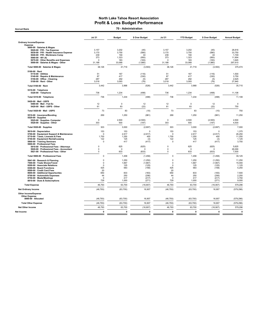| 70 - Administration<br><b>Accrual Basis</b>                                   |                            |                   |                  |                      |                   |                  |                      |  |  |  |  |
|-------------------------------------------------------------------------------|----------------------------|-------------------|------------------|----------------------|-------------------|------------------|----------------------|--|--|--|--|
|                                                                               | <b>Jul 21</b>              | <b>Budget</b>     | \$ Over Budget   | <b>Jul 21</b>        | <b>YTD Budget</b> | \$ Over Budget   | <b>Annual Budget</b> |  |  |  |  |
| <b>Ordinary Income/Expense</b>                                                |                            |                   |                  |                      |                   |                  |                      |  |  |  |  |
| Expense<br>5000-00 · Salaries & Wages                                         |                            |                   |                  |                      |                   |                  |                      |  |  |  |  |
| 5020-00 · P/R - Tax Expense                                                   | 3.157                      | 3.202             | (45)             | 3.157                | 3.202             | (45)             | 28.816               |  |  |  |  |
| 5030-00 · P/R - Health Insurance Expense<br>5040-00 · P/R - Workmans Comp     | 3,170<br>239               | 3,750<br>194      | (580)<br>44      | 3,170<br>239         | 3,750<br>194      | (580)<br>44      | 33,750<br>1,749      |  |  |  |  |
| 5060-00 $\cdot$ 401 (k)                                                       | 373                        | 1,323             | (950)            | 373                  | 1,323             | (950)            | 11,904               |  |  |  |  |
| 5070-00 · Other Benefits and Expenses                                         | $\Omega$                   | 183               | (183)            | $\Omega$             | 183               | (183)            | 1,645                |  |  |  |  |
| 5000-00 · Salaries & Wages - Other                                            | 31,188                     | 33,068            | (1,880)          | 31,188               | 33,068            | (1,880)          | 297,610              |  |  |  |  |
| Total 5000-00 · Salaries & Wages                                              | 38,126                     | 41,719            | (3, 593)         | 38,126               | 41,719            | (3, 593)         | 375,474              |  |  |  |  |
| 5100-00 · Rent<br>5110-00 · Utilities                                         | 51                         | 167               | (116)            | 51                   | 167               | (116)            | 1,500                |  |  |  |  |
| 5140-00 · Repairs & Maintenance                                               | 87                         | 417               | (330)            | 87                   | 417               | (330)            | 3,750                |  |  |  |  |
| 5150-00 · Office - Cleaning                                                   | 287                        | 292               | (5)              | 287                  | 292               | (5)              | 2,625                |  |  |  |  |
| 5100-00 · Rent - Other                                                        | 3,018                      | 3,093             | (76)             | 3,018                | 3,093             | (76)             | 27,840               |  |  |  |  |
| Total 5100-00 · Rent                                                          | 3,442                      | 3,968             | (526)            | 3,442                | 3,968             | (526)            | 35,715               |  |  |  |  |
| 5310-00 · Telephone<br>5320-00 · Telephone                                    | 736                        | 1,234             | (498)            | 736                  | 1,234             | (498)            | 11,108               |  |  |  |  |
| Total 5310-00 · Telephone                                                     | 736                        | 1,234             | (498)            | 736                  | 1.234             | (498)            | 11,108               |  |  |  |  |
| 5420-00 · Mail - USPS                                                         |                            |                   |                  |                      |                   |                  |                      |  |  |  |  |
| 5480-00 · Mail - Fed Ex<br>5420-00 · Mail - USPS - Other                      | 12<br>61                   | $\mathbf 0$<br>83 | 12<br>(22)       | 12<br>61             | $\mathbf 0$<br>83 | 12<br>(22)       | $\mathbf 0$<br>750   |  |  |  |  |
| Total 5420-00 · Mail - USPS                                                   | 73                         | 83                | (10)             | 73                   | 83                | (10)             | 750                  |  |  |  |  |
| 5510-00 · Insurance/Bonding                                                   | 269                        | 1,250             | (981)            | 269                  | 1,250             | (981)            | 11,250               |  |  |  |  |
| $5520-00 \cdot$ Supplies                                                      |                            |                   |                  |                      |                   |                  |                      |  |  |  |  |
| 5525-00 · Supplies- Computer<br>5520-00 · Supplies - Other                    | $\mathsf 0$<br>303         | 2,500<br>500      | (2,500)<br>(197) | $\mathbf 0$<br>303   | 2,500<br>500      | (2,500)<br>(197) | 2,500<br>4,500       |  |  |  |  |
| Total 5520-00 · Supplies                                                      | 303                        | 3,000             | (2,697)          | 303                  | 3,000             | (2,697)          | 7,000                |  |  |  |  |
| 5610-00 · Depreciation                                                        | 153                        | 153               | $\Omega$         | 153                  | 153               | $\Omega$         | 1,375                |  |  |  |  |
| 5700-00 · Equipment Support & Maintenance<br>5710-00 · Taxes, Licenses & Fees | $\Omega$<br>1,700          | 2,917<br>1,250    | (2, 917)<br>450  | $\mathbf 0$<br>1,700 | 2,917<br>1,250    | (2, 917)<br>450  | 26,250<br>11,250     |  |  |  |  |
| 5740-00 · Equipment Rental/Leasing                                            | 122                        | 125               | (3)              | 122                  | 125               | (3)              | 1,125                |  |  |  |  |
| 5800-00 · Training Seminars                                                   | $\mathbf 0$                | 417               | (417)            | $\mathbf 0$          | 417               | (417)            | 3,750                |  |  |  |  |
| 5900-00 · Professional Fees<br>5910-00 · Professional Fees - Attorneys        | 0                          | 625               | (625)            | $\mathsf 0$          | 625               | (625)            | 5,625                |  |  |  |  |
| 5920-00 · Professional Fees - Accountant                                      | $\mathsf 0$                | $\mathbf{0}$      | C                | $\mathbf 0$          | $\Omega$          | $\Omega$         | 26,000               |  |  |  |  |
| 5921-00 · Professional Fees - Other                                           | $\mathbf 0$                | 833               | (833)            | $\mathbf 0$          | 833               | (833)            | 7,500                |  |  |  |  |
| Total 5900-00 · Professional Fees                                             | $\Omega$                   | 1,458             | (1, 458)         | $\mathsf 0$          | 1,458             | (1, 458)         | 39,125               |  |  |  |  |
| 5941-00 · Research & Planning                                                 | $\mathbf 0$                | 1,250             | (1,250)          | $\mathsf 0$          | 1,250             | (1,250)          | 11,250               |  |  |  |  |
| 7500-00 · Trade Shows/Travel<br>8200-00 · Associate Relations                 | $\mathsf 0$<br>$\mathbf 0$ | 1,667<br>125      | (1,667)<br>(125) | 0<br>0               | 1,667<br>125      | (1,667)<br>(125) | 15,000<br>1,125      |  |  |  |  |
| 8300-00 · Board Functions                                                     | 425                        | 583               | (158)            | 425                  | 583               | (158)            | 5,250                |  |  |  |  |
| 8500-00 · Credit Card Fees                                                    | 20                         |                   |                  | 20                   |                   |                  |                      |  |  |  |  |
| 8600-00 · Additional Opportunites<br>8700-00 · Automobile Expenses            | 650<br>44                  | 833<br>250        | (183)<br>(206)   | 650<br>44            | 833<br>250        | (183)<br>(206)   | 7,500<br>2,250       |  |  |  |  |
| 8750-00 · Meals/Meetings                                                      | $\mathbf 0$                | 417               | (417)            | $\mathbf 0$          | 417               | (417)            | 3,750                |  |  |  |  |
| 8810-00 · Dues & Subscriptions                                                | 729                        | 1,000             | (271)            | 729                  | 1,000             | (271)            | 9,000                |  |  |  |  |
| <b>Total Expense</b>                                                          | 46,793                     | 63,700            | (16, 907)        | 46,793               | 63,700            | (16, 907)        | 579,296              |  |  |  |  |
| <b>Net Ordinary Income</b>                                                    | (46, 793)                  | (63, 700)         | 16,907           | (46, 793)            | (63, 700)         | 16,907           | (579, 296)           |  |  |  |  |
| Other Income/Expense                                                          |                            |                   |                  |                      |                   |                  |                      |  |  |  |  |
| <b>Other Expense</b><br>8990-00 · Allocated                                   | (46, 793)                  | (63, 700)         | 16,907           | (46, 793)            | (63, 700)         | 16,907           | (579, 296)           |  |  |  |  |
| <b>Total Other Expense</b>                                                    | (46, 793)                  | (63, 700)         | 16,907           | (46, 793)            | (63, 700)         | 16,907           | (579, 296)           |  |  |  |  |
| Net Other Income                                                              | 46,793                     | 63,700            | (16, 907)        | 46,793               | 63,700            | (16, 907)        | 579,296              |  |  |  |  |
|                                                                               | $\mathbf{0}$               | 0                 | $\mathbf 0$      | $\mathbf{0}$         | $\mathbf{0}$      | $\mathbf{0}$     |                      |  |  |  |  |
| <b>Net Income</b>                                                             |                            |                   |                  |                      |                   |                  | $\mathbf 0$          |  |  |  |  |